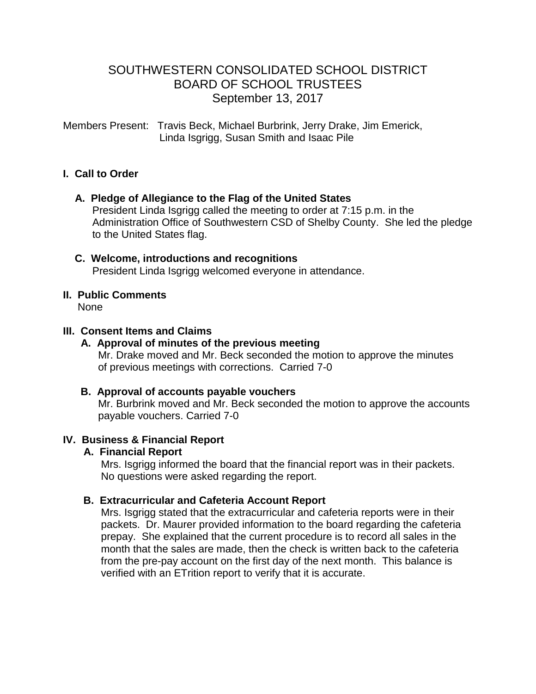# SOUTHWESTERN CONSOLIDATED SCHOOL DISTRICT BOARD OF SCHOOL TRUSTEES September 13, 2017

Members Present: Travis Beck, Michael Burbrink, Jerry Drake, Jim Emerick, Linda Isgrigg, Susan Smith and Isaac Pile

# **I. Call to Order**

#### **A. Pledge of Allegiance to the Flag of the United States**

 President Linda Isgrigg called the meeting to order at 7:15 p.m. in the Administration Office of Southwestern CSD of Shelby County. She led the pledge to the United States flag.

#### **C. Welcome, introductions and recognitions** President Linda Isgrigg welcomed everyone in attendance.

# **II. Public Comments**

None

#### **III. Consent Items and Claims**

# **A. Approval of minutes of the previous meeting**

Mr. Drake moved and Mr. Beck seconded the motion to approve the minutes of previous meetings with corrections. Carried 7-0

#### **B. Approval of accounts payable vouchers**

 Mr. Burbrink moved and Mr. Beck seconded the motion to approve the accounts payable vouchers. Carried 7-0

# **IV. Business & Financial Report**

#### **A. Financial Report**

 Mrs. Isgrigg informed the board that the financial report was in their packets. No questions were asked regarding the report.

#### **B. Extracurricular and Cafeteria Account Report**

Mrs. Isgrigg stated that the extracurricular and cafeteria reports were in their packets. Dr. Maurer provided information to the board regarding the cafeteria prepay. She explained that the current procedure is to record all sales in the month that the sales are made, then the check is written back to the cafeteria from the pre-pay account on the first day of the next month. This balance is verified with an ETrition report to verify that it is accurate.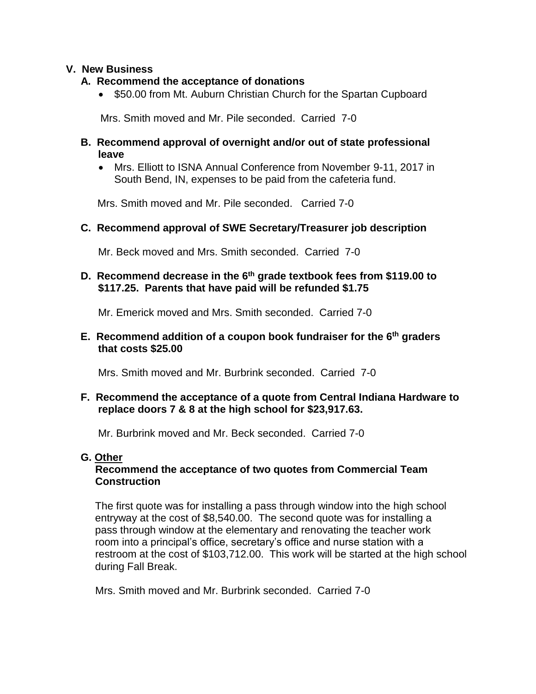#### **V. New Business**

- **A. Recommend the acceptance of donations**
	- \$50.00 from Mt. Auburn Christian Church for the Spartan Cupboard

Mrs. Smith moved and Mr. Pile seconded. Carried 7-0

- **B. Recommend approval of overnight and/or out of state professional leave**
	- Mrs. Elliott to ISNA Annual Conference from November 9-11, 2017 in South Bend, IN, expenses to be paid from the cafeteria fund.

Mrs. Smith moved and Mr. Pile seconded. Carried 7-0

#### **C. Recommend approval of SWE Secretary/Treasurer job description**

Mr. Beck moved and Mrs. Smith seconded. Carried 7-0

 **D. Recommend decrease in the 6th grade textbook fees from \$119.00 to \$117.25. Parents that have paid will be refunded \$1.75**

Mr. Emerick moved and Mrs. Smith seconded. Carried 7-0

 **E. Recommend addition of a coupon book fundraiser for the 6th graders that costs \$25.00**

Mrs. Smith moved and Mr. Burbrink seconded. Carried 7-0

#### **F. Recommend the acceptance of a quote from Central Indiana Hardware to replace doors 7 & 8 at the high school for \$23,917.63.**

Mr. Burbrink moved and Mr. Beck seconded. Carried 7-0

#### **G. Other**

#### **Recommend the acceptance of two quotes from Commercial Team Construction**

The first quote was for installing a pass through window into the high school entryway at the cost of \$8,540.00. The second quote was for installing a pass through window at the elementary and renovating the teacher work room into a principal's office, secretary's office and nurse station with a restroom at the cost of \$103,712.00. This work will be started at the high school during Fall Break.

Mrs. Smith moved and Mr. Burbrink seconded. Carried 7-0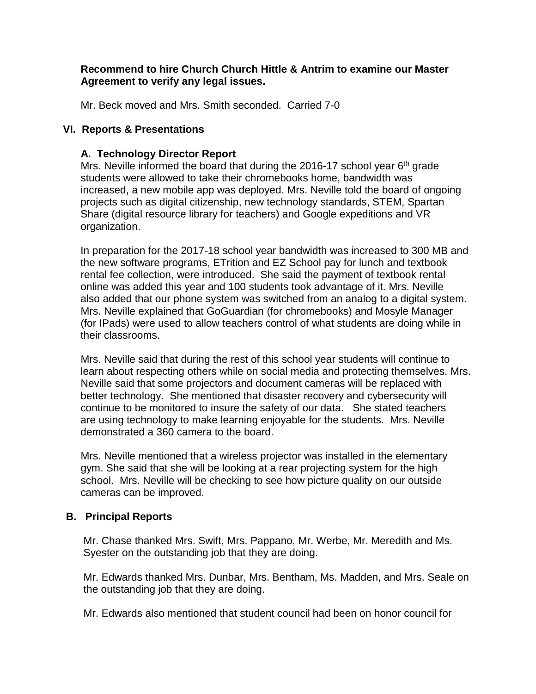#### **Recommend to hire Church Church Hittle & Antrim to examine our Master Agreement to verify any legal issues.**

Mr. Beck moved and Mrs. Smith seconded. Carried 7-0

# **VI. Reports & Presentations**

# **A. Technology Director Report**

Mrs. Neville informed the board that during the 2016-17 school year  $6<sup>th</sup>$  grade students were allowed to take their chromebooks home, bandwidth was increased, a new mobile app was deployed. Mrs. Neville told the board of ongoing projects such as digital citizenship, new technology standards, STEM, Spartan Share (digital resource library for teachers) and Google expeditions and VR organization.

 In preparation for the 2017-18 school year bandwidth was increased to 300 MB and the new software programs, ETrition and EZ School pay for lunch and textbook rental fee collection, were introduced. She said the payment of textbook rental online was added this year and 100 students took advantage of it. Mrs. Neville also added that our phone system was switched from an analog to a digital system. Mrs. Neville explained that GoGuardian (for chromebooks) and Mosyle Manager (for IPads) were used to allow teachers control of what students are doing while in their classrooms.

 Mrs. Neville said that during the rest of this school year students will continue to learn about respecting others while on social media and protecting themselves. Mrs. Neville said that some projectors and document cameras will be replaced with better technology. She mentioned that disaster recovery and cybersecurity will continue to be monitored to insure the safety of our data. She stated teachers are using technology to make learning enjoyable for the students. Mrs. Neville demonstrated a 360 camera to the board.

 Mrs. Neville mentioned that a wireless projector was installed in the elementary gym. She said that she will be looking at a rear projecting system for the high school. Mrs. Neville will be checking to see how picture quality on our outside cameras can be improved.

#### **B. Principal Reports**

Mr. Chase thanked Mrs. Swift, Mrs. Pappano, Mr. Werbe, Mr. Meredith and Ms. Syester on the outstanding job that they are doing.

 Mr. Edwards thanked Mrs. Dunbar, Mrs. Bentham, Ms. Madden, and Mrs. Seale on the outstanding job that they are doing.

Mr. Edwards also mentioned that student council had been on honor council for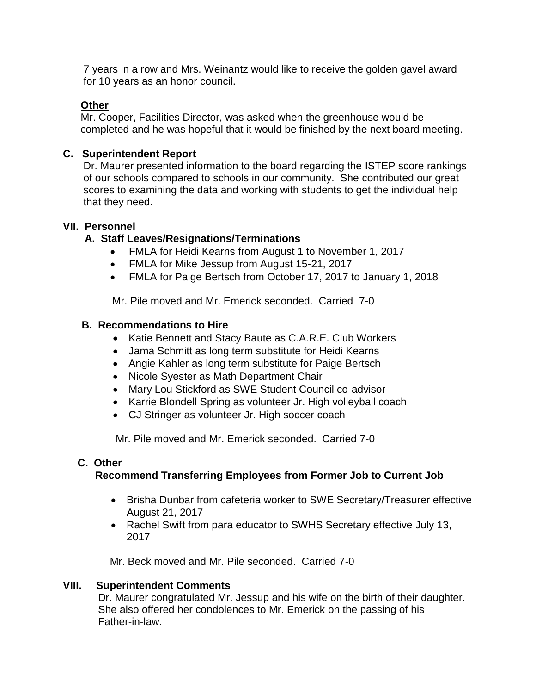7 years in a row and Mrs. Weinantz would like to receive the golden gavel award for 10 years as an honor council.

# **Other**

 Mr. Cooper, Facilities Director, was asked when the greenhouse would be completed and he was hopeful that it would be finished by the next board meeting.

# **C. Superintendent Report**

 Dr. Maurer presented information to the board regarding the ISTEP score rankings of our schools compared to schools in our community. She contributed our great scores to examining the data and working with students to get the individual help that they need.

#### **VII. Personnel**

# **A. Staff Leaves/Resignations/Terminations**

- FMLA for Heidi Kearns from August 1 to November 1, 2017
- FMLA for Mike Jessup from August 15-21, 2017
- FMLA for Paige Bertsch from October 17, 2017 to January 1, 2018

Mr. Pile moved and Mr. Emerick seconded. Carried 7-0

#### **B. Recommendations to Hire**

- Katie Bennett and Stacy Baute as C.A.R.E. Club Workers
- Jama Schmitt as long term substitute for Heidi Kearns
- Angie Kahler as long term substitute for Paige Bertsch
- Nicole Syester as Math Department Chair
- Mary Lou Stickford as SWE Student Council co-advisor
- Karrie Blondell Spring as volunteer Jr. High volleyball coach
- CJ Stringer as volunteer Jr. High soccer coach

Mr. Pile moved and Mr. Emerick seconded. Carried 7-0

# **C. Other**

#### **Recommend Transferring Employees from Former Job to Current Job**

- Brisha Dunbar from cafeteria worker to SWE Secretary/Treasurer effective August 21, 2017
- Rachel Swift from para educator to SWHS Secretary effective July 13, 2017

Mr. Beck moved and Mr. Pile seconded. Carried 7-0

#### **VIII. Superintendent Comments**

 Dr. Maurer congratulated Mr. Jessup and his wife on the birth of their daughter. She also offered her condolences to Mr. Emerick on the passing of his Father-in-law.